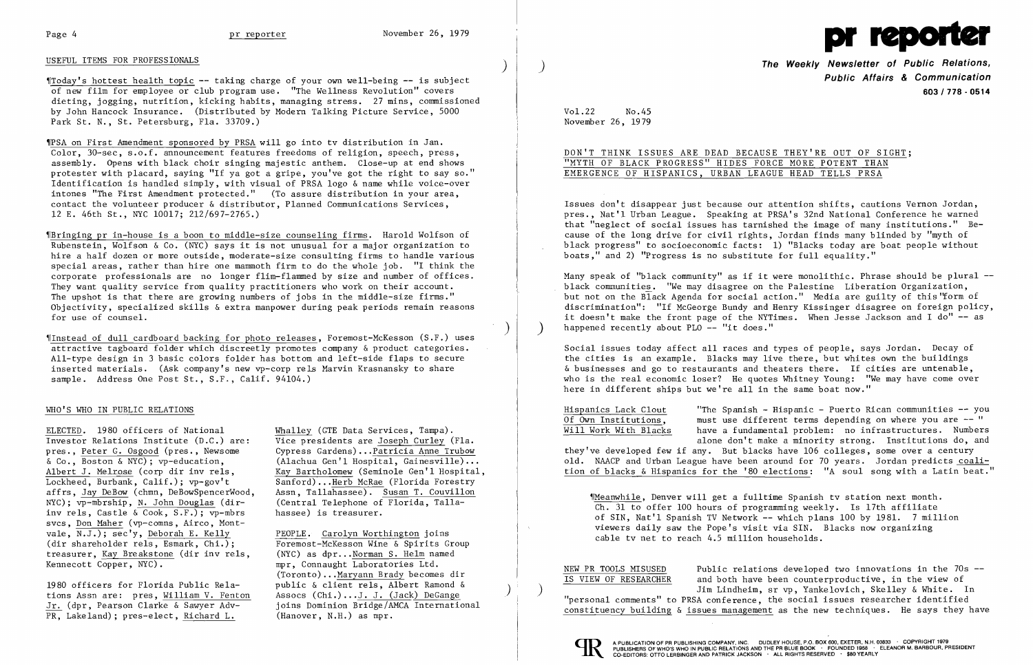

~[Today' s hottest health topic -- taking charge of your own well-being -- is subject of new film for employee or club program use. "The We11ness Revolution" covers dieting, jogging, nutrition, kicking habits, managing stress. 27 mins, commissioned by John Hancock Insurance. (Distributed by Modern Talking Picture Service, 5000 Park St. N., St. Petersburg, Fla. 33709.)

# USEFUL ITEMS FOR PROFESSIONALS )

~[PSA on First Amendment sponsored by PRSA will go into tv distribution in Jan. Color, 30-sec, s.o.f. announcement features freedoms of religion, speech, press, assembly. Opens with black choir singing majestic anthem. Close-up at end shows protester with placard, saying "If ya got a gripe, you've got the right to say so." Identification is handled simply, with visual of PRSA logo & name while voice-over intones "The First Amendment protected." (To assure distribution in your area, contact the volunteer producer & distributor, Planned Communications Services, 12 E. 46th St., NYC 10017; 212/697-2765.)

~[Instead of dull cardboard backing for photo releases, Foremost-McKesson (S. F.) uses attractive tagboard folder which discreetly promotes company & product categories. All-type design in 3 basic colors folder has bottom and left-side flaps to secure inserted materials. (Ask company's new vp-corp rels Marvin Krasnansky to share sample. Address One Post St., S.F., Calif. 94104.)

ELECTED. 1980 officers of National Whalley (GTE Data Services, Tampa). Investor Relations Institute (D.C.) are: Vice presidents are Joseph Curley (Fla. pres., Peter G. Osgood (pres., Newsome Cypress Gardens) ...Patricia Anne Trubow & Co., Boston & NYC); vp-education, (Alachua Gen'l Hospital, Gainesville)...<br>Albert J. Melrose (corp dir inv rels, Kay Bartholomew (Seminole Gen'l Hospital Albert J. Melrose (corp dir inv rels, Kay Bartholomew (Seminole Gen'l Hospital, Lockheed, Burbank, Calif.); vp-gov't Sanford)... Herb McRae (Florida Forestry Lockheed, Burbank, Calif.); vp-gov't<br>affrs. Jay DeBow (chmn. DeBowSpencerWood. Assn. Tallahassee). Susan T. Couvillon NYC);  $v$ p-mbrship, N. John Douglas (dirinv re1s, Castle & Cook, S.F.); vp-mbrs hassee) is treasurer. svcs, Don Maher (vp-comns, Airco, Montvale, N.J.); sec'y, Deborah E. Kelly<br>(dir shareholder rels, Esmark, Chi.); Foremost-McKesson Wine & Spirits Gi treasurer, <u>Kay Breakstone</u> (dir inv rels, (NYC) as dpr... Norman S. Helm named<br>Kennecott Copper, NYC).<br>
mpr, Connaught Laboratories Ltd.

~IBringing pr in-house is a boon to middle-size counseling firms. Harold Wolfson of Rubenstein, Wolfson & Co. (NYC) says it is not unusual for a major organization to hire a half dozen or more outside, moderate-size consulting firms to handle various special areas, rather than hire one mammoth firm to do the whole job. "I think the corporate professionals are no longer f1im-f1ammed by size and number of offices. They want quality service from quality practitioners who work on their account. The upshot is that there are growing numbers of jobs in the middle-size firms." Objectivity, specialized skills & extra manpower during peak periods remain reasons for use of counsel.

1980 officers for Florida Public Rela-<br>
tions Assn are: pres, William V. Fenton Assocs (Chi.)...J. J. (Jack) DeGange PR, Lakeland); pres-elect, Richard L. (Hanover, N.H.) as mpr.

Assn, Tallahassee). Susan T. Couvillon<br>(Central Telephone of Florida, Talla-

Foremost-McKesson Wine & Spirits Group mpr, Connaught Laboratories Ltd. (Toronto)...<u>Maryann Brady</u> becomes dir<br>public  $\&$  client rels, Albert Ramond  $\&$ Jr. (dpr, Pearson Clarke & Sawyer Adv- joins Dominion Bridge/AMCA International

 $\big)$ 

Issues don't disappear just because our attention shifts, cautions Vernon Jordan, pres., Nat'l Urban League. Speaking at PRSA's 32nd National Conference he warned that "neglect of social issues has tarnished the image of many institutions." Because of the long drive for civil rights, Jordan finds many blinded by "myth of black p rogress " to socioeconomic facts: 1) "Blacks today are boat people without boats," and 2) "Progress is no substitute for full equality."

Many speak of "black community" as if it were monolithic. Phrase should be plural -black communities. "We may disagree on the Palestine Liberation Organization, but not on the Black Agenda for social action." Media are guilty of this 'form of discrimination": "If McGeorge Bundy and Henry Kissinger disagree on foreign policy, it doesn't make the front page of the NYTimes. When Jesse Jackson and I do"  $-$  as happened recently about PLO  $-$  "it does."

## WHO'S WHO IN PUBLIC RELATIONS

NEW PR TOOLS MISUSED<br>IS VIEW OF RESEARCHER and both have been counterproductive, in the view of and both have been counterproductive, in the view of ) Jim Lindheim, sr vp, Yanke10vich, Skelley & White. In "personal comments" to PRSA conference, the social issues researcher identified constituency building & issues management as the new techniques. He says they have



**The Weekly Newsletter of Public Relations,** ) **Public Affairs & Communication 603/778 - 0514** 

Vo1.22 No.45 November 26, 1979

# DON'T THINK ISSUES ARE DEAD BECAUSE THEy'RE OUT OF SIGHT; "MYTH OF BLACK PROGRESS" HIDES FORCE MORE POTENT THAN EMERGENCE OF HISPANICS, URBAN LEAGUE HEAD TELLS PRSA

Social issues today affect all races and types of people, says Jordan. Decay of the cities is an example. Blacks may live there, but whites own the buildings & businesses and go to restaurants and theaters there. If cities are untenable, who is the real economic loser? He quotes Whitney Young: "We may have come over here in different ships but we're all in the same boat now."

Hispanics Lack Clout "The Spanish - Hispanic - Puerto Rican communi ties -- you Of Own Institutions, must use different terms depending on where you are -- "<br>Will Work With Blacks have a fundamental problem: no infrastructures. Number have a fundamental problem: no infrastructures. Numbers alone don't make a minority strong. Institutions do, and they've developed few if any. But blacks have 106 colleges, some over a century old. NAACP and Urban League have been around for 70 years. Jordan predicts coalition of blacks & Hispanics for the '80 elections: "A soul song with a Latin beat."

~rMeanwhi1e, Denver will get a fu11time Spanish tv station next month. Ch. 31 to offer 100 hours of programming weekly. Is 17th affiliate of SIN, Nat'l Spanish TV Network -- which plans 100 by 1981. 7 million viewers daily saw the Pope's visit via SIN. Blacks now organizing cable tv net to reach 4.5 million households.